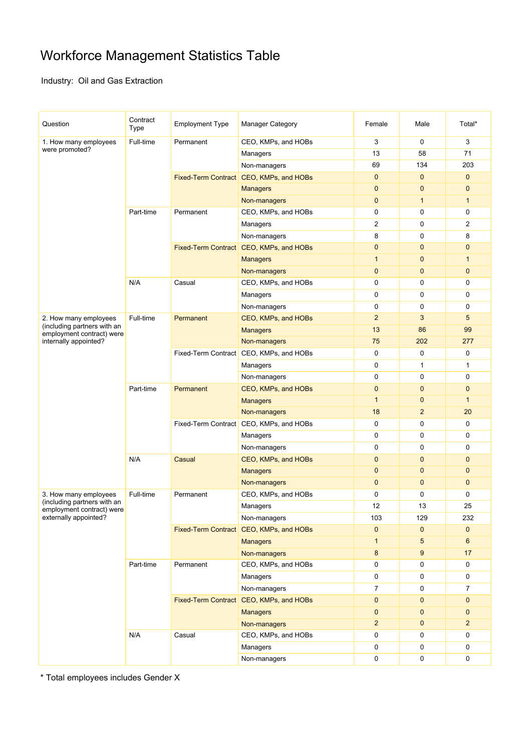## Workforce Management Statistics Table

Industry: Oil and Gas Extraction

| Question                                                                                                   | Contract<br>Type | <b>Employment Type</b>                  | <b>Manager Category</b>                 | Female         | Male           | Total*         |
|------------------------------------------------------------------------------------------------------------|------------------|-----------------------------------------|-----------------------------------------|----------------|----------------|----------------|
| 1. How many employees                                                                                      | Full-time        | Permanent                               | CEO, KMPs, and HOBs                     | 3              | 0              | 3              |
| were promoted?                                                                                             |                  |                                         | Managers                                | 13             | 58             | 71             |
|                                                                                                            |                  |                                         | Non-managers                            | 69             | 134            | 203            |
|                                                                                                            |                  |                                         | Fixed-Term Contract CEO, KMPs, and HOBs | $\mathbf{0}$   | $\mathbf 0$    | $\mathbf{0}$   |
|                                                                                                            |                  |                                         | <b>Managers</b>                         | $\mathbf{0}$   | $\mathbf 0$    | $\mathbf 0$    |
|                                                                                                            |                  |                                         | Non-managers                            | $\mathbf{0}$   | $\mathbf{1}$   | $\mathbf{1}$   |
|                                                                                                            | Part-time        | Permanent                               | CEO, KMPs, and HOBs                     | 0              | 0              | 0              |
|                                                                                                            |                  |                                         | Managers                                | $\overline{2}$ | 0              | 2              |
|                                                                                                            |                  |                                         | Non-managers                            | 8              | 0              | 8              |
|                                                                                                            |                  |                                         | Fixed-Term Contract CEO, KMPs, and HOBs | $\mathbf{0}$   | $\mathbf 0$    | $\mathbf{0}$   |
|                                                                                                            |                  |                                         | <b>Managers</b>                         | $\mathbf{1}$   | $\mathbf 0$    | $\mathbf{1}$   |
|                                                                                                            |                  |                                         | Non-managers                            | $\mathbf{0}$   | $\mathbf 0$    | $\mathbf{0}$   |
|                                                                                                            | N/A              | Casual                                  | CEO, KMPs, and HOBs                     | 0              | 0              | 0              |
|                                                                                                            |                  |                                         | Managers                                | 0              | 0              | 0              |
|                                                                                                            |                  |                                         | Non-managers                            | 0              | 0              | 0              |
| 2. How many employees                                                                                      | Full-time        | Permanent                               | CEO, KMPs, and HOBs                     | $\overline{2}$ | 3              | 5              |
| (including partners with an                                                                                |                  |                                         | <b>Managers</b>                         | 13             | 86             | 99             |
| employment contract) were<br>internally appointed?                                                         |                  |                                         | Non-managers                            | 75             | 202            | 277            |
|                                                                                                            |                  |                                         | Fixed-Term Contract CEO, KMPs, and HOBs | $\mathbf 0$    | 0              | 0              |
|                                                                                                            |                  |                                         | Managers                                | $\mathbf 0$    | $\mathbf{1}$   | $\mathbf{1}$   |
|                                                                                                            |                  |                                         | Non-managers                            | 0              | 0              | 0              |
|                                                                                                            | Part-time        | Permanent                               | CEO, KMPs, and HOBs                     | $\mathbf{0}$   | $\mathbf 0$    | $\mathbf{0}$   |
|                                                                                                            |                  |                                         | <b>Managers</b>                         | $\mathbf{1}$   | 0              | $\mathbf{1}$   |
|                                                                                                            |                  |                                         | Non-managers                            | 18             | $\overline{2}$ | 20             |
|                                                                                                            |                  | Fixed-Term Contract CEO, KMPs, and HOBs |                                         | 0              | 0              | 0              |
|                                                                                                            |                  |                                         | Managers                                | 0              | 0              | 0              |
|                                                                                                            |                  |                                         | Non-managers                            | $\mathbf 0$    | 0              | 0              |
|                                                                                                            |                  |                                         | CEO, KMPs, and HOBs                     | $\mathbf{0}$   | $\mathbf 0$    | $\mathbf{0}$   |
|                                                                                                            | N/A              | Casual                                  |                                         | $\mathbf{0}$   | $\mathbf 0$    | $\mathbf{0}$   |
|                                                                                                            |                  |                                         | <b>Managers</b>                         |                |                |                |
|                                                                                                            |                  |                                         | Non-managers                            | $\mathbf{0}$   | $\mathbf 0$    | $\mathbf{0}$   |
| 3. How many employees<br>(including partners with an<br>employment contract) were<br>externally appointed? | Full-time        | Permanent                               | CEO, KMPs, and HOBs                     | $\mathbf 0$    | 0              | 0              |
|                                                                                                            |                  |                                         | Managers                                | 12             | 13             | 25             |
|                                                                                                            |                  |                                         | Non-managers                            | 103            | 129            | 232            |
|                                                                                                            |                  |                                         | Fixed-Term Contract CEO, KMPs, and HOBs | $\mathbf 0$    | $\mathbf 0$    | $\mathbf 0$    |
|                                                                                                            |                  |                                         | <b>Managers</b>                         | $\mathbf{1}$   | 5              | 6              |
|                                                                                                            |                  |                                         | Non-managers                            | 8              | 9              | 17             |
|                                                                                                            | Part-time        | Permanent                               | CEO, KMPs, and HOBs                     | 0              | 0              | 0              |
|                                                                                                            |                  |                                         | Managers                                | 0              | 0              | 0              |
|                                                                                                            |                  |                                         | Non-managers                            | $\overline{7}$ | 0              | 7              |
|                                                                                                            |                  |                                         | Fixed-Term Contract CEO, KMPs, and HOBs | $\mathbf{0}$   | 0              | $\mathbf{0}$   |
|                                                                                                            |                  |                                         | <b>Managers</b>                         | $\mathbf{0}$   | $\mathbf 0$    | $\mathbf{0}$   |
|                                                                                                            |                  |                                         | Non-managers                            | $\overline{c}$ | $\mathbf 0$    | $\overline{2}$ |
|                                                                                                            | N/A              | Casual                                  | CEO, KMPs, and HOBs                     | 0              | 0              | 0              |
|                                                                                                            |                  |                                         | Managers                                | 0              | 0              | 0              |
|                                                                                                            |                  |                                         | Non-managers                            | 0              | $\pmb{0}$      | 0              |

\* Total employees includes Gender X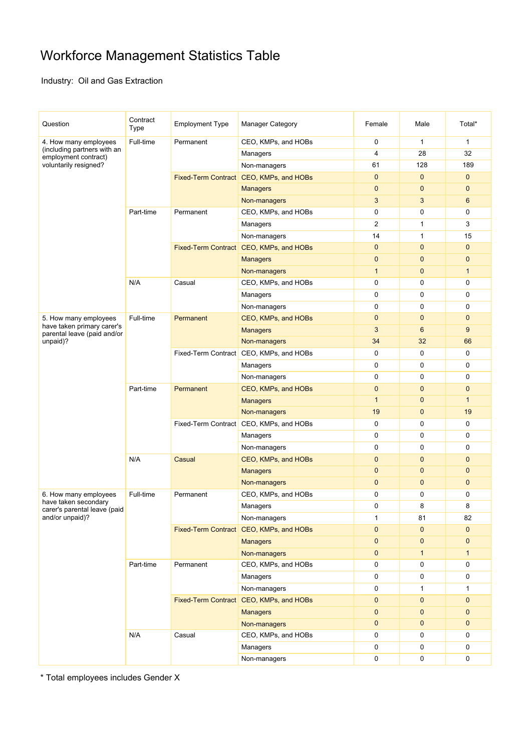## Workforce Management Statistics Table

Industry: Oil and Gas Extraction

| Question                                                                                              | Contract<br>Type | <b>Employment Type</b>                  | <b>Manager Category</b>                 | Female                    | Male                       | Total*                      |
|-------------------------------------------------------------------------------------------------------|------------------|-----------------------------------------|-----------------------------------------|---------------------------|----------------------------|-----------------------------|
| 4. How many employees<br>(including partners with an<br>employment contract)<br>voluntarily resigned? | Full-time        | Permanent                               | CEO, KMPs, and HOBs                     | $\mathbf 0$               | $\mathbf{1}$               | $\mathbf{1}$                |
|                                                                                                       |                  |                                         | Managers                                | $\overline{4}$            | 28                         | 32                          |
|                                                                                                       |                  |                                         | Non-managers                            | 61                        | 128                        | 189                         |
|                                                                                                       |                  |                                         | Fixed-Term Contract CEO, KMPs, and HOBs | $\mathbf{0}$              | $\mathbf{0}$               | $\mathbf{0}$                |
|                                                                                                       |                  |                                         | <b>Managers</b>                         | $\mathbf{0}$              | $\mathbf 0$                | $\mathbf{0}$                |
|                                                                                                       |                  |                                         | Non-managers                            | 3                         | 3                          | $6\phantom{1}$              |
|                                                                                                       | Part-time        | Permanent                               | CEO, KMPs, and HOBs                     | 0                         | 0                          | 0                           |
|                                                                                                       |                  |                                         | Managers                                | $\overline{2}$            | 1                          | 3                           |
|                                                                                                       |                  |                                         | Non-managers                            | 14                        | $\mathbf{1}$               | 15                          |
|                                                                                                       |                  |                                         | Fixed-Term Contract CEO, KMPs, and HOBs | $\mathbf{0}$              | $\mathbf{0}$               | $\mathbf{0}$                |
|                                                                                                       |                  |                                         | <b>Managers</b>                         | $\mathbf{0}$              | $\mathbf 0$                | $\mathbf{0}$                |
|                                                                                                       |                  |                                         | Non-managers                            | $\mathbf{1}$              | $\mathbf 0$                | $\mathbf{1}$                |
|                                                                                                       | N/A              | Casual                                  | CEO, KMPs, and HOBs                     | 0                         | 0                          | 0                           |
|                                                                                                       |                  |                                         | Managers                                | $\mathbf 0$               | 0                          | $\mathbf 0$                 |
|                                                                                                       |                  |                                         | Non-managers                            | $\mathbf 0$               | 0                          | $\mathbf 0$                 |
| 5. How many employees                                                                                 | Full-time        | Permanent                               | CEO, KMPs, and HOBs                     | $\mathbf 0$               | $\mathbf 0$                | $\mathbf{0}$                |
| have taken primary carer's<br>parental leave (paid and/or                                             |                  |                                         | <b>Managers</b>                         | 3                         | 6                          | 9                           |
| unpaid)?                                                                                              |                  |                                         | Non-managers                            | 34                        | 32                         | 66                          |
|                                                                                                       |                  |                                         | Fixed-Term Contract CEO, KMPs, and HOBs | $\mathbf 0$               | 0                          | $\mathbf 0$                 |
|                                                                                                       |                  |                                         | Managers                                | $\mathbf 0$               | 0                          | 0                           |
|                                                                                                       |                  |                                         | Non-managers                            | 0                         | 0                          | 0                           |
|                                                                                                       | Part-time        | Permanent                               | CEO, KMPs, and HOBs                     | $\mathbf{0}$              | $\mathbf 0$                | $\mathbf{0}$                |
|                                                                                                       |                  |                                         | <b>Managers</b>                         | $\mathbf 1$               | $\mathbf{0}$               | $\mathbf{1}$                |
|                                                                                                       |                  |                                         | Non-managers                            | 19                        | $\mathbf 0$                | 19                          |
|                                                                                                       |                  | Fixed-Term Contract CEO, KMPs, and HOBs |                                         | 0                         | 0                          | 0                           |
|                                                                                                       |                  |                                         | Managers                                | $\mathbf 0$               | 0                          | 0                           |
|                                                                                                       |                  |                                         | Non-managers                            | $\mathbf 0$               | 0                          | 0                           |
|                                                                                                       | N/A              | Casual                                  | CEO, KMPs, and HOBs                     | $\mathbf{0}$              | $\mathbf 0$                | $\mathbf{0}$                |
|                                                                                                       |                  |                                         | <b>Managers</b>                         | $\mathbf{0}$              | 0                          | $\mathbf{0}$                |
|                                                                                                       |                  |                                         | Non-managers                            | $\mathbf{0}$              | $\mathbf 0$                | $\mathbf{0}$                |
| 6. How many employees                                                                                 | Full-time        | Permanent                               | CEO, KMPs, and HOBs                     | 0                         | 0                          | 0                           |
| have taken secondary<br>carer's parental leave (paid<br>and/or unpaid)?                               |                  |                                         | Managers                                | $\mathbf 0$               | 8                          | 8                           |
|                                                                                                       |                  |                                         | Non-managers                            | 1                         | 81                         | 82                          |
|                                                                                                       |                  | Fixed-Term Contract CEO, KMPs, and HOBs |                                         | $\mathbf{0}$              | $\mathbf 0$                | $\mathbf 0$                 |
|                                                                                                       |                  |                                         | <b>Managers</b>                         | $\mathbf{0}$              | $\mathbf 0$                | $\mathbf{0}$                |
|                                                                                                       |                  |                                         | Non-managers                            | $\pmb{0}$                 | $\mathbf{1}$               | $\mathbf{1}$                |
|                                                                                                       | Part-time        | Permanent                               | CEO, KMPs, and HOBs                     | 0                         | 0                          | 0                           |
|                                                                                                       |                  |                                         | Managers                                | 0                         | 0                          | 0                           |
|                                                                                                       |                  |                                         | Non-managers                            | $\pmb{0}$                 | 1                          | 1                           |
|                                                                                                       |                  |                                         |                                         |                           | $\mathbf 0$                | $\mathbf{0}$                |
|                                                                                                       |                  |                                         | Fixed-Term Contract CEO, KMPs, and HOBs | $\pmb{0}$                 |                            |                             |
|                                                                                                       |                  |                                         | <b>Managers</b>                         | $\pmb{0}$<br>$\mathbf{0}$ | $\mathbf 0$<br>$\mathbf 0$ | $\mathbf{0}$<br>$\mathbf 0$ |
|                                                                                                       |                  | Casual                                  | Non-managers                            |                           |                            |                             |
|                                                                                                       | N/A              |                                         | CEO, KMPs, and HOBs                     | 0                         | 0                          | 0                           |
|                                                                                                       |                  |                                         | Managers                                | 0                         | 0                          | 0                           |
|                                                                                                       |                  |                                         | Non-managers                            | 0                         | 0                          | 0                           |

\* Total employees includes Gender X